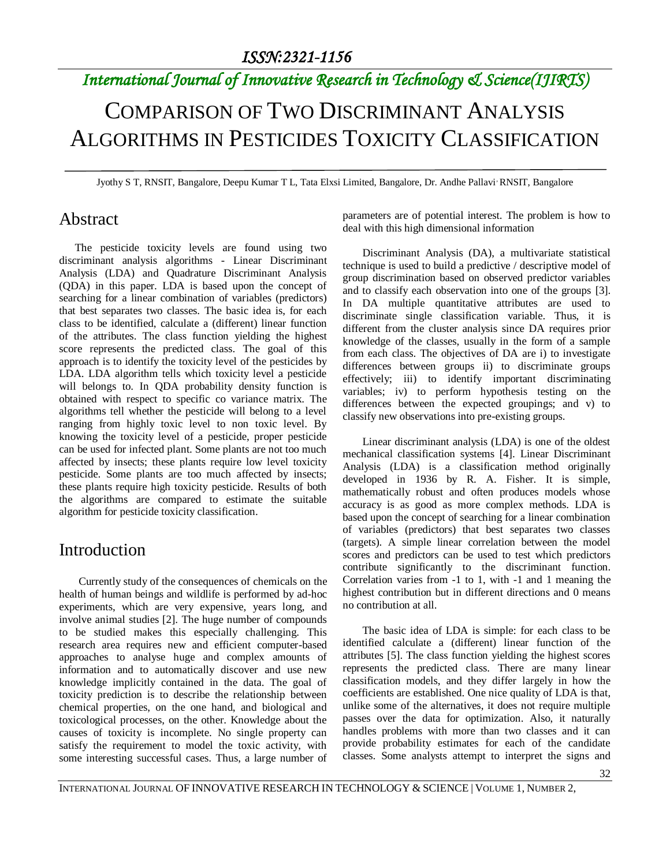# *International Journal of Innovative Research in Technology & Science(IJIRTS)*

# COMPARISON OF TWO DISCRIMINANT ANALYSIS ALGORITHMS IN PESTICIDES TOXICITY CLASSIFICATION

Jyothy S T, RNSIT, Bangalore, Deepu Kumar T L, Tata Elxsi Limited, Bangalore, Dr. Andhe Pallavi, RNSIT, Bangalore

### **Abstract**

The pesticide toxicity levels are found using two discriminant analysis algorithms - Linear Discriminant Analysis (LDA) and Quadrature Discriminant Analysis (QDA) in this paper. LDA is based upon the concept of searching for a linear combination of variables (predictors) that best separates two classes. The basic idea is, for each class to be identified, calculate a (different) linear function of the attributes. The class function yielding the highest score represents the predicted class. The goal of this approach is to identify the toxicity level of the pesticides by LDA. LDA algorithm tells which toxicity level a pesticide will belongs to. In QDA probability density function is obtained with respect to specific co variance matrix. The algorithms tell whether the pesticide will belong to a level ranging from highly toxic level to non toxic level. By knowing the toxicity level of a pesticide, proper pesticide can be used for infected plant. Some plants are not too much affected by insects; these plants require low level toxicity pesticide. Some plants are too much affected by insects; these plants require high toxicity pesticide. Results of both the algorithms are compared to estimate the suitable algorithm for pesticide toxicity classification.

### Introduction

Currently study of the consequences of chemicals on the health of human beings and wildlife is performed by ad-hoc experiments, which are very expensive, years long, and involve animal studies [2]. The huge number of compounds to be studied makes this especially challenging. This research area requires new and efficient computer-based approaches to analyse huge and complex amounts of information and to automatically discover and use new knowledge implicitly contained in the data. The goal of toxicity prediction is to describe the relationship between chemical properties, on the one hand, and biological and toxicological processes, on the other. Knowledge about the causes of toxicity is incomplete. No single property can satisfy the requirement to model the toxic activity, with some interesting successful cases. Thus, a large number of parameters are of potential interest. The problem is how to deal with this high dimensional information

Discriminant Analysis (DA), a multivariate statistical technique is used to build a predictive / descriptive model of group discrimination based on observed predictor variables and to classify each observation into one of the groups [3]. In DA multiple quantitative attributes are used to discriminate single classification variable. Thus, it is different from the cluster analysis since DA requires prior knowledge of the classes, usually in the form of a sample from each class. The objectives of DA are i) to investigate differences between groups ii) to discriminate groups effectively; iii) to identify important discriminating variables; iv) to perform hypothesis testing on the differences between the expected groupings; and v) to classify new observations into pre-existing groups.

Linear discriminant analysis (LDA) is one of the oldest mechanical classification systems [4]. Linear Discriminant Analysis (LDA) is a classification method originally developed in 1936 by R. A. Fisher. It is simple, mathematically robust and often produces models whose accuracy is as good as more complex methods. LDA is based upon the concept of searching for a linear combination of variables (predictors) that best separates two classes (targets). A simple linear correlation between the model scores and predictors can be used to test which predictors contribute significantly to the discriminant function. Correlation varies from -1 to 1, with -1 and 1 meaning the highest contribution but in different directions and 0 means no contribution at all.

The basic idea of LDA is simple: for each class to be identified calculate a (different) linear function of the attributes [5]. The class function yielding the highest scores represents the predicted class. There are many linear classification models, and they differ largely in how the coefficients are established. One nice quality of LDA is that, unlike some of the alternatives, it does not require multiple passes over the data for optimization. Also, it naturally handles problems with more than two classes and it can provide probability estimates for each of the candidate classes. Some analysts attempt to interpret the signs and

INTERNATIONAL JOURNAL OF INNOVATIVE RESEARCH IN TECHNOLOGY & SCIENCE | VOLUME 1, NUMBER 2,

32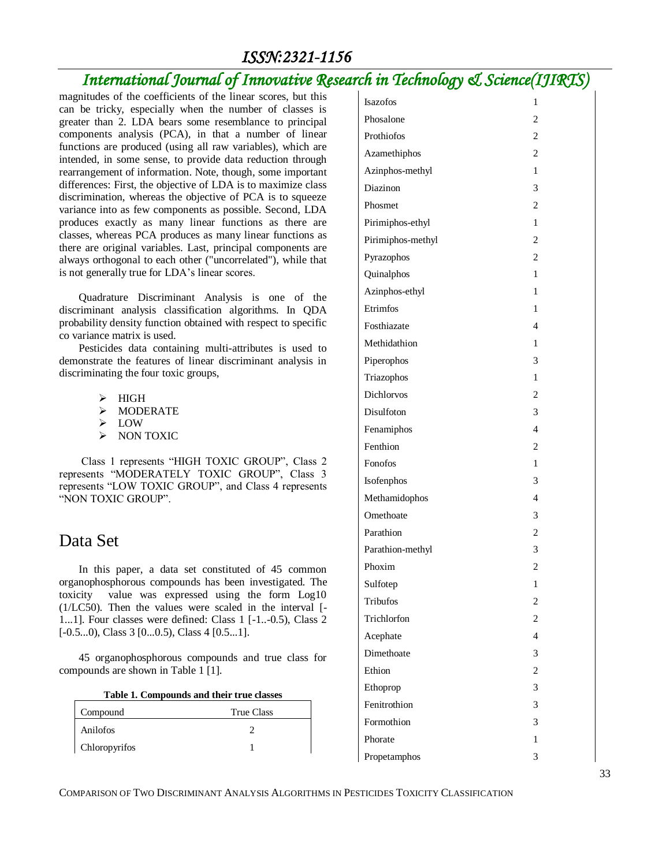### *International Journal of Innovative Research in Technology & Science(IJIRTS)*

magnitudes of the coefficients of the linear scores, but this can be tricky, especially when the number of classes is greater than 2. LDA bears some resemblance to principal components analysis (PCA), in that a number of linear functions are produced (using all raw variables), which are intended, in some sense, to provide data reduction through rearrangement of information. Note, though, some important differences: First, the objective of LDA is to maximize class discrimination, whereas the objective of PCA is to squeeze variance into as few components as possible. Second, LDA produces exactly as many linear functions as there are classes, whereas PCA produces as many linear functions as there are original variables. Last, principal components are always orthogonal to each other ("uncorrelated"), while that is not generally true for LDA's linear scores.

Quadrature Discriminant Analysis is one of the discriminant analysis classification algorithms. In QDA probability density function obtained with respect to specific co variance matrix is used.

Pesticides data containing multi-attributes is used to demonstrate the features of linear discriminant analysis in discriminating the four toxic groups,

- HIGH
- > MODERATE
- > LOW
- > NON TOXIC

Class 1 represents "HIGH TOXIC GROUP", Class 2 represents "MODERATELY TOXIC GROUP", Class 3 represents "LOW TOXIC GROUP", and Class 4 represents "NON TOXIC GROUP".

#### Data Set

In this paper, a data set constituted of 45 common organophosphorous compounds has been investigated. The toxicity value was expressed using the form Log10 (1/LC50). Then the values were scaled in the interval [- 1...1]. Four classes were defined: Class 1 [-1..-0.5), Class 2  $[-0.5...0]$ , Class 3  $[0...0.5]$ , Class 4  $[0.5...1]$ .

45 organophosphorous compounds and true class for compounds are shown in Table 1 [1].

|  |  | Table 1. Compounds and their true classes |  |  |  |  |
|--|--|-------------------------------------------|--|--|--|--|
|--|--|-------------------------------------------|--|--|--|--|

| Compound      | <b>True Class</b> |
|---------------|-------------------|
| Anilofos      |                   |
| Chloropyrifos |                   |

| <b>Isazofos</b>   | 1              |
|-------------------|----------------|
| Phosalone         | 2              |
| Prothiofos        | 2              |
| Azamethiphos      | $\overline{c}$ |
| Azinphos-methyl   | 1              |
| Diazinon          | 3              |
| Phosmet           | $\overline{c}$ |
| Pirimiphos-ethyl  | 1              |
| Pirimiphos-methyl | $\overline{c}$ |
| Pyrazophos        | 2              |
| Quinalphos        | 1              |
| Azinphos-ethyl    | 1              |
| Etrimfos          | 1              |
| Fosthiazate       | 4              |
| Methidathion      | 1              |
| Piperophos        | 3              |
| Triazophos        | 1              |
| Dichlorvos        | 2              |
| Disulfoton        | 3              |
| Fenamiphos        | 4              |
| Fenthion          | 2              |
| Fonofos           | 1              |
| Isofenphos        | 3              |
| Methamidophos     | 4              |
| Omethoate         | 3              |
| Parathion         | 2              |
| Parathion-methyl  | 3              |
| Phoxim            | $\overline{2}$ |
| Sulfotep          | $\mathbf{1}$   |
| <b>Tribufos</b>   | 2              |
| Trichlorfon       | 2              |
| Acephate          | $\overline{4}$ |
| Dimethoate        | 3              |
| Ethion            | 2              |
| Ethoprop          | 3              |
| Fenitrothion      | 3              |
| Formothion        | 3              |
| Phorate           | 1              |
| Propetamphos      | 3              |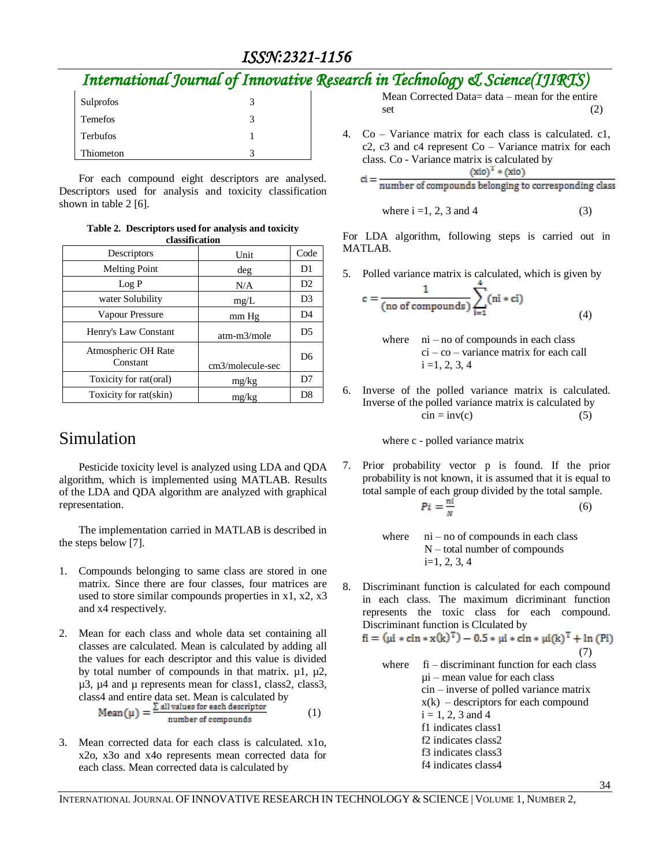# *International Journal of Innovative Research in Technology & Science(IJIRTS)*

| Sulprofos      | 3 |
|----------------|---|
| <b>Temefos</b> | 3 |
| Terbufos       |   |
| Thiometon      | 2 |

For each compound eight descriptors are analysed. Descriptors used for analysis and toxicity classification shown in table 2 [6].

**Table 2. Descriptors used for analysis and toxicity classification**

| Descriptors                     | Unit             | Code           |
|---------------------------------|------------------|----------------|
| <b>Melting Point</b>            | deg              | D <sub>1</sub> |
| Log P                           | N/A              | D2             |
| water Solubility                | mg/L             | D <sub>3</sub> |
| Vapour Pressure                 | mm Hg            | D <sub>4</sub> |
| Henry's Law Constant            | $atm-m3/mole$    | D <sub>5</sub> |
| Atmospheric OH Rate<br>Constant | cm3/molecule-sec | D <sub>6</sub> |
| Toxicity for rat(oral)          | mg/kg            | D7             |
| Toxicity for rat(skin)          | mg/kg            | D <sub>8</sub> |

### Simulation

Pesticide toxicity level is analyzed using LDA and QDA algorithm, which is implemented using MATLAB. Results of the LDA and QDA algorithm are analyzed with graphical representation.

The implementation carried in MATLAB is described in the steps below [7].

- 1. Compounds belonging to same class are stored in one matrix. Since there are four classes, four matrices are used to store similar compounds properties in x1, x2, x3 and x4 respectively.
- 2. Mean for each class and whole data set containing all classes are calculated. Mean is calculated by adding all the values for each descriptor and this value is divided by total number of compounds in that matrix.  $\mu$ 1,  $\mu$ 2, µ3, µ4 and µ represents mean for class1, class2, class3, class4 and entire data set. Mean is calculated by

Mean 
$$
(\mu) = \frac{\sum \text{ all values for each descriptor}}{\text{number of compounds}}
$$
 (1)

3. Mean corrected data for each class is calculated. x1o, x2o, x3o and x4o represents mean corrected data for each class. Mean corrected data is calculated by

Mean Corrected Data= data – mean for the entire set  $(2)$ 

4. Co – Variance matrix for each class is calculated. c1, c2, c3 and c4 represent  $Co - Variance$  matrix for each class. Co - Variance matrix is calculated by  $(xio)^T*(xio)$ 

 $ci =$ number of compounds belonging to corresponding class

where 
$$
i = 1, 2, 3
$$
 and 4 (3)

For LDA algorithm, following steps is carried out in MATLAB.

5. Polled variance matrix is calculated, which is given by

$$
c = \frac{1}{(\text{no of compounds})} \sum_{i=1}^{n} (\text{ni} * \text{ci})
$$
 (4)

where 
$$
ni - no
$$
 of compounds in each class  
ci  $- co$  – variance matrix for each call  
i = 1, 2, 3, 4

6. Inverse of the polled variance matrix is calculated. Inverse of the polled variance matrix is calculated by  $\operatorname{cin} = \operatorname{inv}(c)$  (5)

where c - polled variance matrix

7. Prior probability vector p is found. If the prior probability is not known, it is assumed that it is equal to total sample of each group divided by the total sample.

$$
Pi = \frac{ni}{N} \tag{6}
$$

where 
$$
ni - no
$$
 of compounds in each class  
N - total number of compounds  
i=1, 2, 3, 4

8. Discriminant function is calculated for each compound in each class. The maximum dicriminant function represents the toxic class for each compound. Discriminant function is Clculated by

$$
fi = (\mu i * \text{cin} * x(k)^T) - 0.5 * \mu i * \text{cin} * \mu i(k)^T + \ln (Pi)
$$
  
(7)

where fi – discriminant function for each class µi – mean value for each class cin – inverse of polled variance matrix  $x(k)$  – descriptors for each compound  $i = 1, 2, 3$  and 4 f1 indicates class1 f2 indicates class2 f3 indicates class3 f4 indicates class4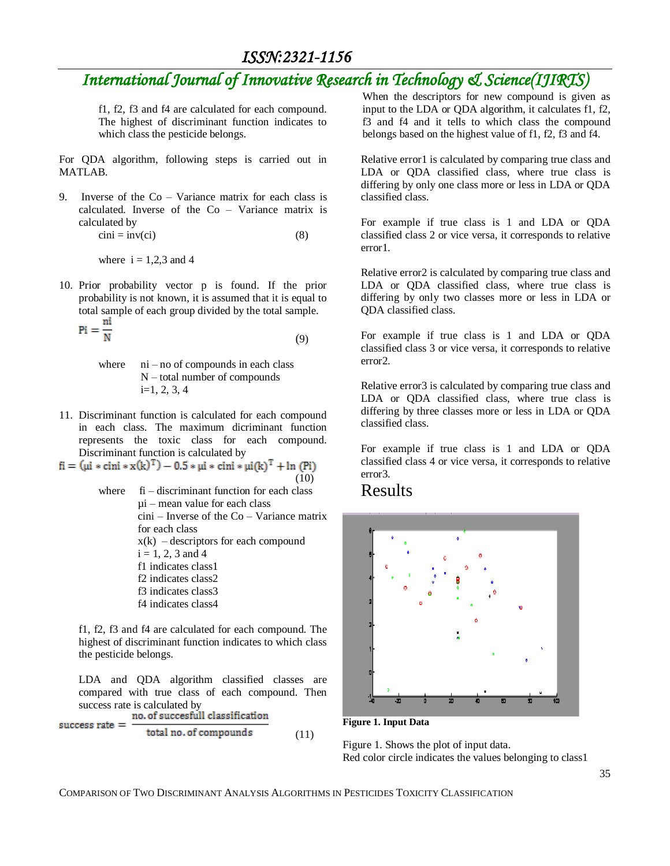### *International Journal of Innovative Research in Technology & Science(IJIRTS)*

f1, f2, f3 and f4 are calculated for each compound. The highest of discriminant function indicates to which class the pesticide belongs.

For QDA algorithm, following steps is carried out in MATLAB.

9. Inverse of the Co – Variance matrix for each class is calculated. Inverse of the Co – Variance matrix is calculated by

 $\text{cini} = \text{inv}(\text{ci})$  (8)

where  $i = 1,2,3$  and 4

10. Prior probability vector p is found. If the prior probability is not known, it is assumed that it is equal to total sample of each group divided by the total sample. 'ni

$$
\mathbf{Pi} = \frac{\mathbf{m}}{\mathbf{N}} \tag{9}
$$

- where  $ni no$  of compounds in each class N – total number of compounds i=1, 2, 3, 4
- 11. Discriminant function is calculated for each compound in each class. The maximum dicriminant function represents the toxic class for each compound. Discriminant function is calculated by

$$
fi = (\mu i * cini * x(k)^{T}) - 0.5 * \mu i * cini * \mu i(k)^{T} + \ln (Pi)
$$
  
(10)

where  $fi$  – discriminant function for each class µi – mean value for each class cini – Inverse of the Co – Variance matrix for each class  $x(k)$  – descriptors for each compound  $i = 1, 2, 3$  and 4 f1 indicates class1 f2 indicates class2 f3 indicates class3 f4 indicates class4

f1, f2, f3 and f4 are calculated for each compound. The highest of discriminant function indicates to which class the pesticide belongs.

LDA and QDA algorithm classified classes are compared with true class of each compound. Then success rate is calculated by

success rate = 
$$
\frac{\text{no. of successful classification}}{\text{total no. of compounds}}
$$
 (11)

When the descriptors for new compound is given as input to the LDA or QDA algorithm, it calculates f1, f2, f3 and f4 and it tells to which class the compound belongs based on the highest value of f1, f2, f3 and f4.

Relative error1 is calculated by comparing true class and LDA or QDA classified class, where true class is differing by only one class more or less in LDA or QDA classified class.

For example if true class is 1 and LDA or QDA classified class 2 or vice versa, it corresponds to relative error1.

Relative error2 is calculated by comparing true class and LDA or QDA classified class, where true class is differing by only two classes more or less in LDA or QDA classified class.

For example if true class is 1 and LDA or QDA classified class 3 or vice versa, it corresponds to relative error2.

Relative error3 is calculated by comparing true class and LDA or QDA classified class, where true class is differing by three classes more or less in LDA or QDA classified class.

For example if true class is 1 and LDA or QDA classified class 4 or vice versa, it corresponds to relative error3.

#### Results



**Figure 1. Input Data**

Figure 1. Shows the plot of input data. Red color circle indicates the values belonging to class1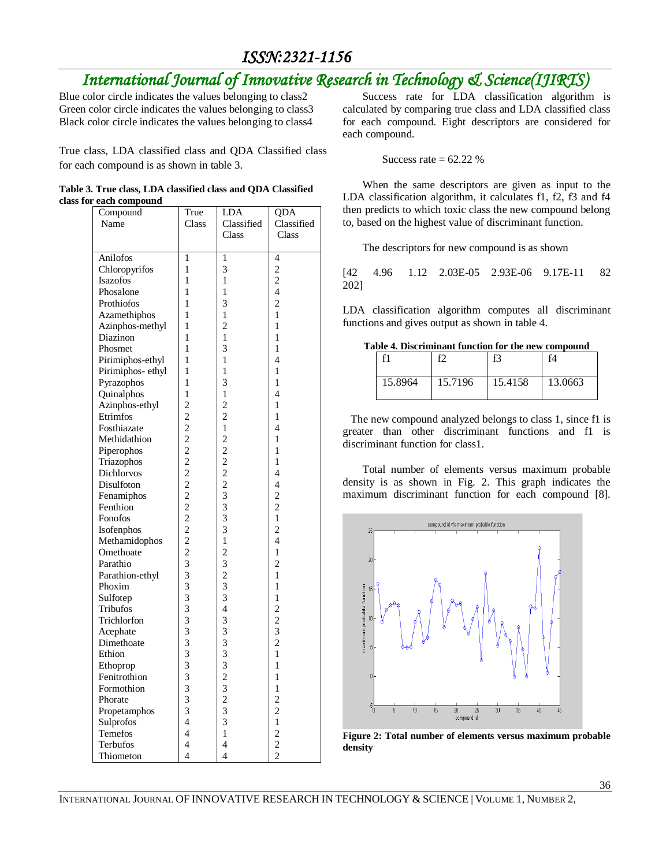### *International Journal of Innovative Research in Technology & Science(IJIRTS)*

Blue color circle indicates the values belonging to class2 Green color circle indicates the values belonging to class3 Black color circle indicates the values belonging to class4

True class, LDA classified class and QDA Classified class for each compound is as shown in table 3.

|                         |  |  |  | Table 3. True class, LDA classified class and QDA Classified |
|-------------------------|--|--|--|--------------------------------------------------------------|
| class for each compound |  |  |  |                                                              |

| Compound         | True                     | LDA                                        | QDA                      |
|------------------|--------------------------|--------------------------------------------|--------------------------|
| Name             | Class                    | Classified                                 | Classified               |
|                  |                          | Class                                      | Class                    |
|                  |                          |                                            |                          |
| Anilofos         | 1                        | $\mathbf{1}$                               | $\overline{4}$           |
| Chloropyrifos    | 1                        | 3                                          | $\overline{c}$           |
| <b>Isazofos</b>  | 1                        | $\mathbf{1}$                               | $\overline{c}$           |
| Phosalone        | 1                        | $\mathbf{1}$                               | $\overline{\mathcal{L}}$ |
| Prothiofos       | $\mathbf{1}$             | 3                                          | $\overline{c}$           |
| Azamethiphos     | 1                        | $\mathbf{1}$                               | 1                        |
| Azinphos-methyl  | 1                        | $\overline{c}$                             | $\mathbf{1}$             |
| Diazinon         | 1                        | $\mathbf{1}$                               | 1                        |
| Phosmet          | 1                        | 3                                          | 1                        |
| Pirimiphos-ethyl | 1                        | $\mathbf{1}$                               | $\overline{4}$           |
| Pirimiphos-ethyl | 1                        | $\mathbf{1}$                               | $\mathbf{1}$             |
| Pyrazophos       | 1                        | 3                                          | 1                        |
| Quinalphos       | 1                        | $\mathbf{1}$                               | $\overline{4}$           |
| Azinphos-ethyl   | $\overline{c}$           | $\overline{2}$                             | 1                        |
| Etrimfos         | $\overline{c}$           | $\overline{c}$                             | 1                        |
| Fosthiazate      | $\overline{c}$           | $\mathbf{1}$                               | 4                        |
| Methidathion     | $\overline{c}$           | $\overline{2}$                             | 1                        |
| Piperophos       | $\overline{c}$           | $\overline{c}$                             | $\mathbf{1}$             |
| Triazophos       | $\overline{c}$           | $\overline{c}$                             | 1                        |
| Dichlorvos       | $\frac{1}{2}$            | $\overline{c}$                             | $\overline{4}$           |
| Disulfoton       | $\overline{c}$           | $\overline{c}$                             | $\overline{4}$           |
| Fenamiphos       | $\overline{c}$           | 3                                          | $\overline{2}$           |
| Fenthion         | $\overline{2}$           | 3                                          | $\overline{c}$           |
| Fonofos          | $\overline{2}$           | 3                                          | 1                        |
| Isofenphos       | $\overline{c}$           | 3                                          | $\overline{c}$           |
| Methamidophos    | $\overline{c}$           | $\mathbf{1}$                               | $\overline{\mathcal{L}}$ |
| Omethoate        | $\overline{c}$           | $\overline{c}$                             | $\mathbf{1}$             |
| Parathio         | $\overline{3}$           | 3                                          | $\overline{c}$           |
| Parathion-ethyl  |                          | $\overline{c}$                             | $\mathbf{1}$             |
| Phoxim           |                          | 3                                          | $\mathbf{1}$             |
| Sulfotep         |                          | 3                                          | 1                        |
| Tribufos         |                          | $\overline{4}$                             | $\overline{c}$           |
| Trichlorfon      | 333333333333             | 3                                          |                          |
| Acephate         |                          |                                            | $\frac{2}{3}$            |
| Dimethoate       |                          | $\begin{array}{c} 3 \\ 3 \\ 3 \end{array}$ | $\overline{c}$           |
| Ethion           |                          |                                            | 1                        |
| Ethoprop         |                          |                                            | $\mathbf{1}$             |
| Fenitrothion     |                          | $\frac{3}{2}$                              | 1                        |
| Formothion       |                          |                                            | 1                        |
| Phorate          |                          | $\frac{3}{2}$                              | $\overline{c}$           |
| Propetamphos     | $\overline{3}$           | $\overline{3}$                             | $\overline{c}$           |
| Sulprofos        | $\overline{4}$           | 3                                          | $\mathbf{1}$             |
| Temefos          | $\overline{\mathcal{L}}$ | $\mathbf{1}$                               | $\overline{c}$           |
| Terbufos         | $\overline{4}$           | 4                                          | $\overline{c}$           |
| Thiometon        | $\overline{\mathcal{L}}$ | $\overline{\mathcal{A}}$                   | $\overline{\mathcal{L}}$ |

Success rate for LDA classification algorithm is calculated by comparing true class and LDA classified class for each compound. Eight descriptors are considered for each compound.

Success rate  $= 62.22 %$ 

When the same descriptors are given as input to the LDA classification algorithm, it calculates f1, f2, f3 and f4 then predicts to which toxic class the new compound belong to, based on the highest value of discriminant function.

The descriptors for new compound is as shown

[42 4.96 1.12 2.03E-05 2.93E-06 9.17E-11 82 202]

LDA classification algorithm computes all discriminant functions and gives output as shown in table 4.

|  | Table 4. Discriminant function for the new compound |  |  |  |
|--|-----------------------------------------------------|--|--|--|
|--|-----------------------------------------------------|--|--|--|

| $\mathbf{c}_1$ |         |         | f4      |
|----------------|---------|---------|---------|
| 15.8964        | 15.7196 | 15.4158 | 13.0663 |

 The new compound analyzed belongs to class 1, since f1 is greater than other discriminant functions and f1 is discriminant function for class1.

Total number of elements versus maximum probable density is as shown in Fig. 2. This graph indicates the maximum discriminant function for each compound [8].



**Figure 2: Total number of elements versus maximum probable density**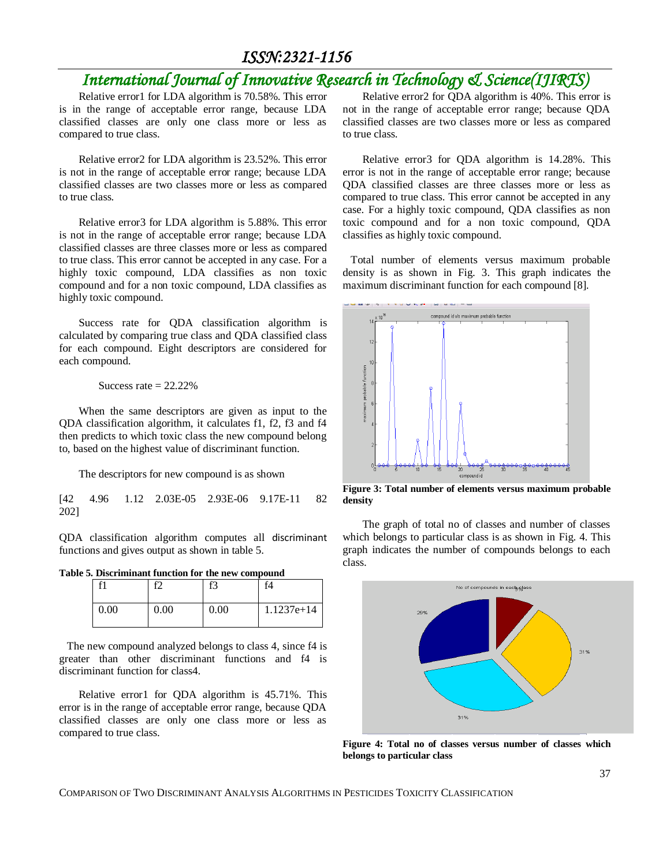### *International Journal of Innovative Research in Technology & Science(IJIRTS)*

Relative error1 for LDA algorithm is 70.58%. This error is in the range of acceptable error range, because LDA classified classes are only one class more or less as compared to true class.

Relative error2 for LDA algorithm is 23.52%. This error is not in the range of acceptable error range; because LDA classified classes are two classes more or less as compared to true class.

Relative error3 for LDA algorithm is 5.88%. This error is not in the range of acceptable error range; because LDA classified classes are three classes more or less as compared to true class. This error cannot be accepted in any case. For a highly toxic compound, LDA classifies as non toxic compound and for a non toxic compound, LDA classifies as highly toxic compound.

Success rate for QDA classification algorithm is calculated by comparing true class and QDA classified class for each compound. Eight descriptors are considered for each compound.

Success rate  $= 22.22\%$ 

When the same descriptors are given as input to the QDA classification algorithm, it calculates f1, f2, f3 and f4 then predicts to which toxic class the new compound belong to, based on the highest value of discriminant function.

The descriptors for new compound is as shown

|      |  |  | [42 4.96 1.12 2.03E-05 2.93E-06 9.17E-11 82 |  |
|------|--|--|---------------------------------------------|--|
| 2021 |  |  |                                             |  |

QDA classification algorithm computes all discriminant functions and gives output as shown in table 5.

**Table 5. Discriminant function for the new compound**

| £1   | ↶    | f3   | f4           |
|------|------|------|--------------|
| 0.00 | 0.00 | 0.00 | $1.1237e+14$ |

 The new compound analyzed belongs to class 4, since f4 is greater than other discriminant functions and f4 is discriminant function for class4.

Relative error1 for QDA algorithm is 45.71%. This error is in the range of acceptable error range, because QDA classified classes are only one class more or less as compared to true class.

Relative error2 for QDA algorithm is 40%. This error is not in the range of acceptable error range; because QDA classified classes are two classes more or less as compared to true class.

Relative error3 for QDA algorithm is 14.28%. This error is not in the range of acceptable error range; because QDA classified classes are three classes more or less as compared to true class. This error cannot be accepted in any case. For a highly toxic compound, QDA classifies as non toxic compound and for a non toxic compound, QDA classifies as highly toxic compound.

 Total number of elements versus maximum probable density is as shown in Fig. 3. This graph indicates the maximum discriminant function for each compound [8].



**Figure 3: Total number of elements versus maximum probable density**

The graph of total no of classes and number of classes which belongs to particular class is as shown in Fig. 4. This graph indicates the number of compounds belongs to each class.



**Figure 4: Total no of classes versus number of classes which belongs to particular class**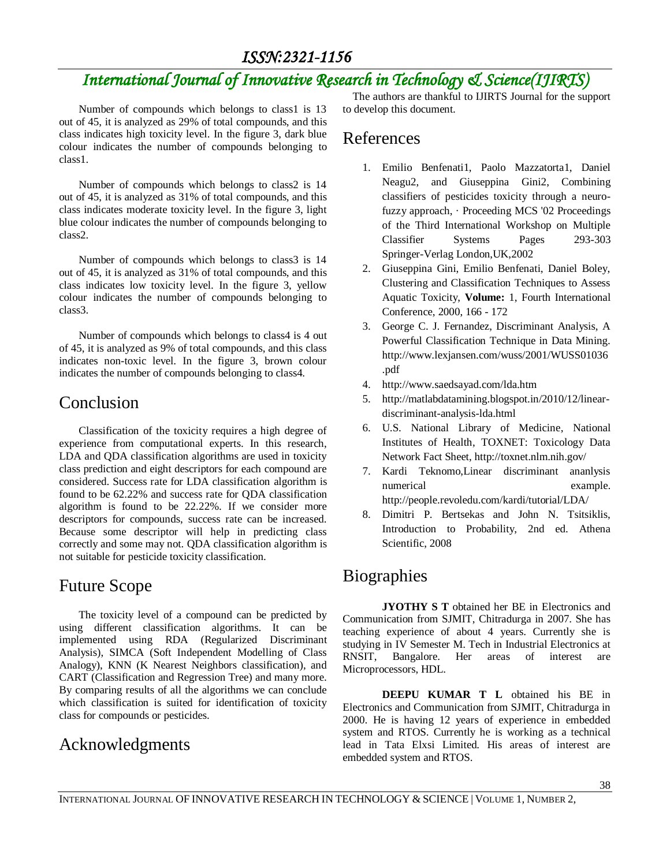# *International Journal of Innovative Research in Technology & Science(IJIRTS)*

Number of compounds which belongs to class1 is 13 out of 45, it is analyzed as 29% of total compounds, and this class indicates high toxicity level. In the figure 3, dark blue colour indicates the number of compounds belonging to class1.

Number of compounds which belongs to class2 is 14 out of 45, it is analyzed as 31% of total compounds, and this class indicates moderate toxicity level. In the figure 3, light blue colour indicates the number of compounds belonging to class2.

Number of compounds which belongs to class3 is 14 out of 45, it is analyzed as 31% of total compounds, and this class indicates low toxicity level. In the figure 3, yellow colour indicates the number of compounds belonging to class3.

Number of compounds which belongs to class4 is 4 out of 45, it is analyzed as 9% of total compounds, and this class indicates non-toxic level. In the figure 3, brown colour indicates the number of compounds belonging to class4.

### Conclusion

Classification of the toxicity requires a high degree of experience from computational experts. In this research, LDA and QDA classification algorithms are used in toxicity class prediction and eight descriptors for each compound are considered. Success rate for LDA classification algorithm is found to be 62.22% and success rate for QDA classification algorithm is found to be 22.22%. If we consider more descriptors for compounds, success rate can be increased. Because some descriptor will help in predicting class correctly and some may not. QDA classification algorithm is not suitable for pesticide toxicity classification.

### Future Scope

The toxicity level of a compound can be predicted by using different classification algorithms. It can be implemented using RDA (Regularized Discriminant Analysis), SIMCA (Soft Independent Modelling of Class Analogy), KNN (K Nearest Neighbors classification), and CART (Classification and Regression Tree) and many more. By comparing results of all the algorithms we can conclude which classification is suited for identification of toxicity class for compounds or pesticides.

### Acknowledgments

The authors are thankful to IJIRTS Journal for the support to develop this document.

### References

- 1. Emilio Benfenati1, Paolo Mazzatorta1, Daniel Neagu2, and Giuseppina Gini2, Combining classifiers of pesticides toxicity through a neurofuzzy approach, · Proceeding MCS '02 Proceedings of the Third International Workshop on Multiple Classifier Systems Pages 293-303 Springer-Verlag London,UK,2002
- 2. Giuseppina Gini, Emilio Benfenati, Daniel Boley, Clustering and Classification Techniques to Assess Aquatic Toxicity, **Volume:** 1, Fourth International Conference, 2000, 166 - 172
- 3. George C. J. Fernandez, Discriminant Analysis, A Powerful Classification Technique in Data Mining. http://www.lexjansen.com/wuss/2001/WUSS01036 .pdf
- 4. http://www.saedsayad.com/lda.htm
- 5. http://matlabdatamining.blogspot.in/2010/12/lineardiscriminant-analysis-lda.html
- 6. [U.S. National Library of Medicine,](http://www.nlm.nih.gov/) [National](http://www.nih.gov/)  [Institutes of Health,](http://www.nih.gov/) [TOXNET: Toxicology Data](http://www.google.co.in/url?q=http://www.nlm.nih.gov/pubs/factsheets/toxnetfs.html&sa=U&ei=rdZjUayFK4PYrQf23YHYAg&ved=0CCYQFjAH&usg=AFQjCNElcm-cInxol7dUTT4-A7JxYel5IA)  [Network Fact](http://www.google.co.in/url?q=http://www.nlm.nih.gov/pubs/factsheets/toxnetfs.html&sa=U&ei=rdZjUayFK4PYrQf23YHYAg&ved=0CCYQFjAH&usg=AFQjCNElcm-cInxol7dUTT4-A7JxYel5IA) Sheet, http://toxnet.nlm.nih.gov/
- 7. Kardi Teknomo,Linear discriminant ananlysis numerical example. http://people.revoledu.com/kardi/tutorial/LDA/
- 8. Dimitri P. Bertsekas and John N. Tsitsiklis, Introduction to Probability, 2nd ed. Athena Scientific, 2008

### **Biographies**

**JYOTHY S T** obtained her BE in Electronics and Communication from SJMIT, Chitradurga in 2007. She has teaching experience of about 4 years. Currently she is studying in IV Semester M. Tech in Industrial Electronics at RNSIT, Bangalore. Her areas of interest are Microprocessors, HDL.

**DEEPU KUMAR T L** obtained his BE in Electronics and Communication from SJMIT, Chitradurga in 2000. He is having 12 years of experience in embedded system and RTOS. Currently he is working as a technical lead in Tata Elxsi Limited. His areas of interest are embedded system and RTOS.